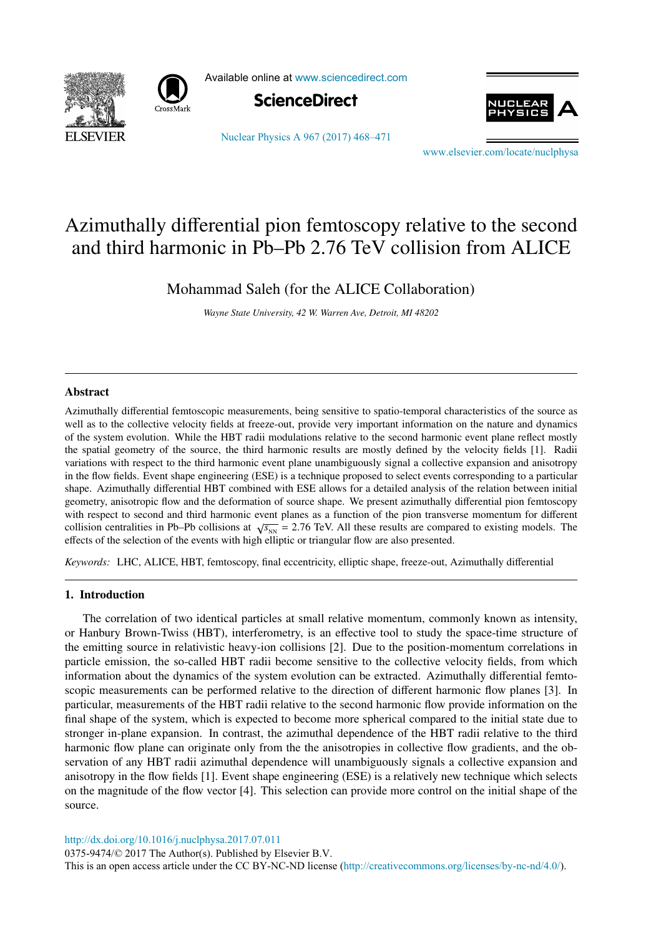



Available online at [www.sciencedirect.com](http://www.sciencedirect.com)





[Nuclear Physics A 967 \(2017\) 468–471](http://dx.doi.org/10.1016/j.nuclphysa.2017.07.011)

[www.elsevier.com/locate/nuclphysa](http://www.elsevier.com/locate/nuclphysa)

# Azimuthally differential pion femtoscopy relative to the second and third harmonic in Pb–Pb 2.76 TeV collision from ALICE

Mohammad Saleh (for the ALICE Collaboration)

*Wayne State University, 42 W. Warren Ave, Detroit, MI 48202*

## Abstract

Azimuthally differential femtoscopic measurements, being sensitive to spatio-temporal characteristics of the source as well as to the collective velocity fields at freeze-out, provide very important information on the nature and dynamics of the system evolution. While the HBT radii modulations relative to the second harmonic event plane reflect mostly the spatial geometry of the source, the third harmonic results are mostly defined by the velocity fields [1]. Radii variations with respect to the third harmonic event plane unambiguously signal a collective expansion and anisotropy in the flow fields. Event shape engineering (ESE) is a technique proposed to select events corresponding to a particular shape. Azimuthally differential HBT combined with ESE allows for a detailed analysis of the relation between initial geometry, anisotropic flow and the deformation of source shape. We present azimuthally differential pion femtoscopy with respect to second and third harmonic event planes as a function of the pion transverse momentum for different collision centralities in Pb–Pb collisions at  $\sqrt{s_{NN}}$  = 2.76 TeV. All these results are compared to existing models. The effects of the selection of the events with high elliptic or triangular flow are also presented.

*Keywords:* LHC, ALICE, HBT, femtoscopy, final eccentricity, elliptic shape, freeze-out, Azimuthally differential

## 1. Introduction

The correlation of two identical particles at small relative momentum, commonly known as intensity, or Hanbury Brown-Twiss (HBT), interferometry, is an effective tool to study the space-time structure of the emitting source in relativistic heavy-ion collisions [2]. Due to the position-momentum correlations in particle emission, the so-called HBT radii become sensitive to the collective velocity fields, from which information about the dynamics of the system evolution can be extracted. Azimuthally differential femtoscopic measurements can be performed relative to the direction of different harmonic flow planes [3]. In particular, measurements of the HBT radii relative to the second harmonic flow provide information on the final shape of the system, which is expected to become more spherical compared to the initial state due to stronger in-plane expansion. In contrast, the azimuthal dependence of the HBT radii relative to the third harmonic flow plane can originate only from the the anisotropies in collective flow gradients, and the observation of any HBT radii azimuthal dependence will unambiguously signals a collective expansion and anisotropy in the flow fields [1]. Event shape engineering (ESE) is a relatively new technique which selects on the magnitude of the flow vector [4]. This selection can provide more control on the initial shape of the source.

<http://dx.doi.org/10.1016/j.nuclphysa.2017.07.011>

0375-9474/© 2017 The Author(s). Published by Elsevier B.V. This is an open access article under the CC BY-NC-ND license [\(http://creativecommons.org/licenses/by-nc-nd/4.0/\)](http://creativecommons.org/licenses/by-nc-nd/4.0/).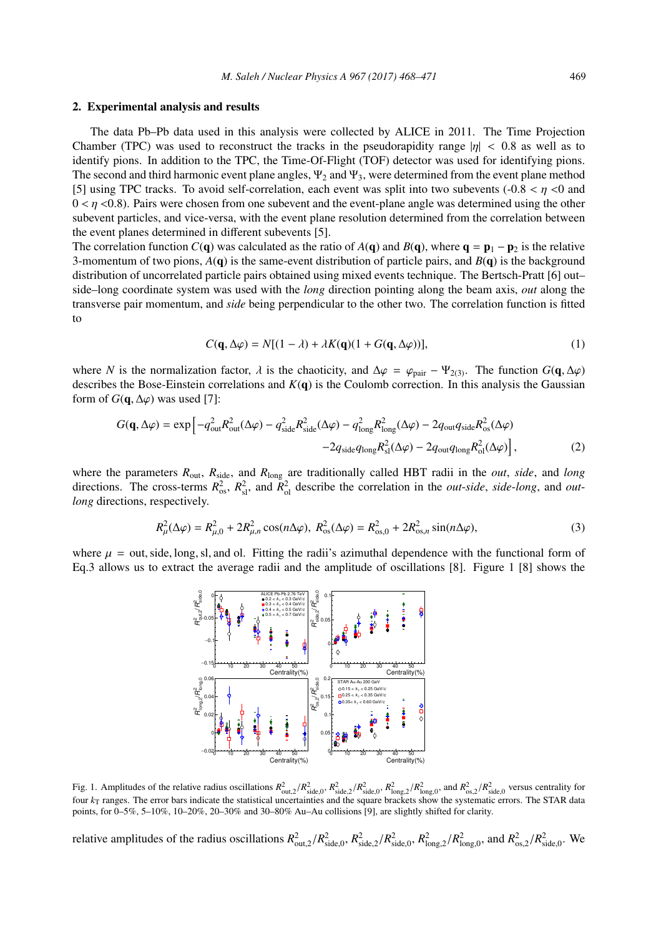#### 2. Experimental analysis and results

The data Pb–Pb data used in this analysis were collected by ALICE in 2011. The Time Projection Chamber (TPC) was used to reconstruct the tracks in the pseudorapidity range  $|\eta| < 0.8$  as well as to identify pions. In addition to the TPC, the Time-Of-Flight (TOF) detector was used for identifying pions. The second and third harmonic event plane angles,  $\Psi_2$  and  $\Psi_3$ , were determined from the event plane method [5] using TPC tracks. To avoid self-correlation, each event was split into two subevents  $(-0.8 < \eta < 0$  and  $0 \lt \eta \lt 0.8$ ). Pairs were chosen from one subevent and the event-plane angle was determined using the other subevent particles, and vice-versa, with the event plane resolution determined from the correlation between the event planes determined in different subevents [5].

The correlation function *C*(q) was calculated as the ratio of *A*(q) and *B*(q), where  $q = p_1 - p_2$  is the relative 3-momentum of two pions, *A*(q) is the same-event distribution of particle pairs, and *B*(q) is the background distribution of uncorrelated particle pairs obtained using mixed events technique. The Bertsch-Pratt [6] out– side–long coordinate system was used with the *long* direction pointing along the beam axis, *out* along the transverse pair momentum, and *side* being perpendicular to the other two. The correlation function is fitted to

$$
C(\mathbf{q}, \Delta \varphi) = N[(1 - \lambda) + \lambda K(\mathbf{q})(1 + G(\mathbf{q}, \Delta \varphi))],
$$
\n(1)

where *N* is the normalization factor,  $\lambda$  is the chaoticity, and  $\Delta \varphi = \varphi_{\text{pair}} - \Psi_{2(3)}$ . The function  $G(\mathbf{q}, \Delta \varphi)$ describes the Bose-Einstein correlations and *K*(q) is the Coulomb correction. In this analysis the Gaussian form of  $G(q, \Delta \varphi)$  was used [7]:

$$
G(\mathbf{q}, \Delta \varphi) = \exp \left[ -q_{\text{out}}^2 R_{\text{out}}^2 (\Delta \varphi) - q_{\text{side}}^2 R_{\text{side}}^2 (\Delta \varphi) - q_{\text{long}}^2 R_{\text{long}}^2 (\Delta \varphi) - 2q_{\text{out}} q_{\text{side}} R_{\text{os}}^2 (\Delta \varphi) - 2q_{\text{out}} q_{\text{long}} R_{\text{ol}}^2 (\Delta \varphi) \right],
$$
\n(2)

where the parameters *R*out, *R*side, and *R*long are traditionally called HBT radii in the *out*, *side*, and *long* directions. The cross-terms  $R_{os}^2$ ,  $R_{sl}^2$ , and  $R_{ol}^2$  describe the correlation in the *out-side*, *side-long*, and *outlong* directions, respectively.

$$
R_{\mu}^{2}(\Delta\varphi) = R_{\mu,0}^{2} + 2R_{\mu,n}^{2}\cos(n\Delta\varphi), R_{\text{os}}^{2}(\Delta\varphi) = R_{\text{os},0}^{2} + 2R_{\text{os},n}^{2}\sin(n\Delta\varphi),
$$
\n(3)

where  $\mu$  = out, side, long, sl, and ol. Fitting the radii's azimuthal dependence with the functional form of Eq.3 allows us to extract the average radii and the amplitude of oscillations [8]. Figure 1 [8] shows the



Fig. 1. Amplitudes of the relative radius oscillations  $R_{out,2}^2/R_{side,0}^2$ ,  $R_{side,0}^2/R_{side,0}^2$ ,  $R_{long,2}^2/R_{long,0}^2$ , and  $R_{os,2}^2/R_{side,0}^2$  versus centrality for four  $k<sub>T</sub>$  ranges. The error bars indicate the statistical uncertainties and the square brackets show the systematic errors. The STAR data points, for 0–5%, 5–10%, 10–20%, 20–30% and 30–80% Au–Au collisions [9], are slightly shifted for clarity.

relative amplitudes of the radius oscillations  $R_{\text{out},2}^2/R_{\text{side},0}^2$ ,  $R_{\text{side},0}^2/R_{\text{side},0}^2$ ,  $R_{\text{long},2}^2/R_{\text{long},0}^2$ , and  $R_{\text{os},2}^2/R_{\text{side},0}^2$ . We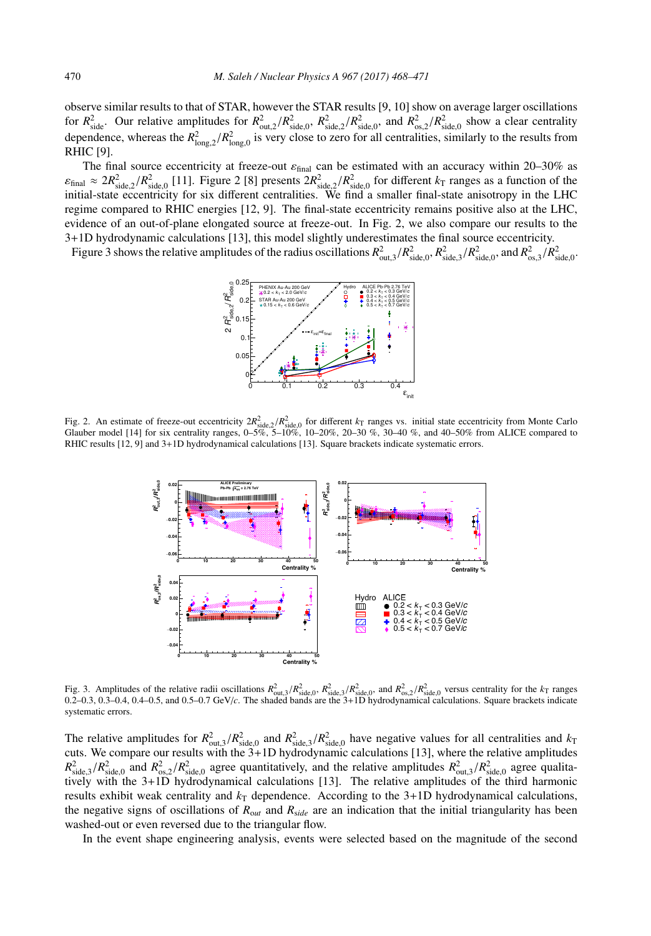observe similar results to that of STAR, however the STAR results [9, 10] show on average larger oscillations for  $R_{\text{side}}^2$ . Our relative amplitudes for  $R_{\text{out,2}}^2/R_{\text{side,0}}^2$ ,  $R_{\text{side,2}}^2/R_{\text{side,0}}^2$ , and  $R_{\text{os,2}}^2/R_{\text{side,0}}^2$  show a clear centrality dependence, whereas the  $R_{\text{long,2}}^2/R_{\text{long,0}}^2$  is very close to zero for all centralities, similarly to the results from RHIC [9].

The final source eccentricity at freeze-out  $\varepsilon_{final}$  can be estimated with an accuracy within 20–30% as  $\varepsilon_{\text{final}} \approx 2R_{\text{side,2}}^2/R_{\text{side,0}}^2$  [11]. Figure 2 [8] presents  $2R_{\text{side,2}}^2/R_{\text{side,0}}^2$  for different  $k_\text{T}$  ranges as a function of the initial-state eccentricity for six different centralities. We find a smaller final-state anisotropy in the LHC regime compared to RHIC energies [12, 9]. The final-state eccentricity remains positive also at the LHC, evidence of an out-of-plane elongated source at freeze-out. In Fig. 2, we also compare our results to the 3+1D hydrodynamic calculations [13], this model slightly underestimates the final source eccentricity.

Figure 3 shows the relative amplitudes of the radius oscillations  $R^2_{\text{out,3}}/R^2_{\text{side,0}}, R^2_{\text{side,0}}, R^2_{\text{side,0}},$  and  $R^2_{\text{os,3}}/R^2_{\text{side,0}}$ .



Fig. 2. An estimate of freeze-out eccentricity  $2R_{side,0}^2/R_{side,0}^2$  for different  $k_T$  ranges vs. initial state eccentricity from Monte Carlo<br>Glauber model [14] for six centrality ranges, 0–5%, 5–10%, 10–20%, 20–30 %, 30–4 RHIC results [12, 9] and 3+1D hydrodynamical calculations [13]. Square brackets indicate systematic errors.



Fig. 3. Amplitudes of the relative radii oscillations  $R_{\text{out,3}}^2/R_{\text{side,0}}^2$ ,  $R_{\text{side,3}}^2/R_{\text{side,0}}^2$ , and  $R_{\text{out,2}}^2/R_{\text{side,0}}^2$  versus centrality for the  $k_\text{T}$  ranges 0.2–0.3, 0.3–0.4, 0.4–0.5, and 0.5–0.7 GeV/c. systematic errors.

The relative amplitudes for  $R^2_{\text{out,3}}/R^2_{\text{side,0}}$  and  $R^2_{\text{side,3}}/R^2_{\text{side,0}}$  have negative values for all centralities and  $k_T$ cuts. We compare our results with the 3+1D hydrodynamic calculations [13], where the relative amplitudes  $R^2_{\text{side,3}}/R^2_{\text{side,0}}$  and  $R^2_{\text{os,2}}/R^2_{\text{side,0}}$  agree quantitatively, and the relative amplitudes  $R^2_{\text{out,3}}/R^2_{\text{side,0}}$  agree qualitatively with the 3+1D hydrodynamical calculations [13]. The relative amplitudes of the third harmonic results exhibit weak centrality and  $k<sub>T</sub>$  dependence. According to the 3+1D hydrodynamical calculations, the negative signs of oscillations of *R*o*ut* and *R*s*ide* are an indication that the initial triangularity has been washed-out or even reversed due to the triangular flow.

In the event shape engineering analysis, events were selected based on the magnitude of the second